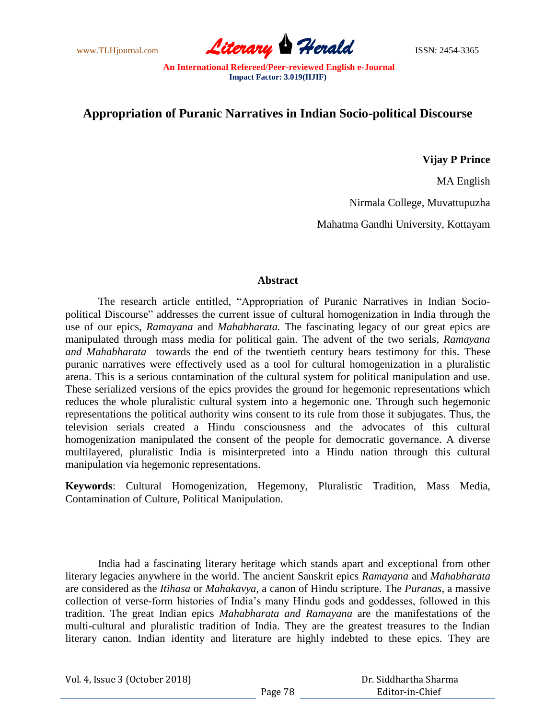www.TLHjournal.com **Literary Perald Herald** ISSN: 2454-3365

## **Appropriation of Puranic Narratives in Indian Socio-political Discourse**

**Vijay P Prince**

MA English

Nirmala College, Muvattupuzha

Mahatma Gandhi University, Kottayam

## **Abstract**

The research article entitled, "Appropriation of Puranic Narratives in Indian Sociopolitical Discourse" addresses the current issue of cultural homogenization in India through the use of our epics, *Ramayana* and *Mahabharata.* The fascinating legacy of our great epics are manipulated through mass media for political gain. The advent of the two serials, *Ramayana and Mahabharata* towards the end of the twentieth century bears testimony for this. These puranic narratives were effectively used as a tool for cultural homogenization in a pluralistic arena. This is a serious contamination of the cultural system for political manipulation and use. These serialized versions of the epics provides the ground for hegemonic representations which reduces the whole pluralistic cultural system into a hegemonic one. Through such hegemonic representations the political authority wins consent to its rule from those it subjugates. Thus, the television serials created a Hindu consciousness and the advocates of this cultural homogenization manipulated the consent of the people for democratic governance. A diverse multilayered, pluralistic India is misinterpreted into a Hindu nation through this cultural manipulation via hegemonic representations.

**Keywords**: Cultural Homogenization, Hegemony, Pluralistic Tradition, Mass Media, Contamination of Culture, Political Manipulation.

India had a fascinating literary heritage which stands apart and exceptional from other literary legacies anywhere in the world. The ancient Sanskrit epics *Ramayana* and *Mahabharata* are considered as the *Itihasa* or *Mahakavya,* a canon of Hindu scripture. The *Puranas*, a massive collection of verse-form histories of India"s many Hindu gods and goddesses, followed in this tradition. The great Indian epics *Mahabharata and Ramayana* are the manifestations of the multi-cultural and pluralistic tradition of India. They are the greatest treasures to the Indian literary canon. Indian identity and literature are highly indebted to these epics. They are

Vol. 4, Issue 3 (October 2018)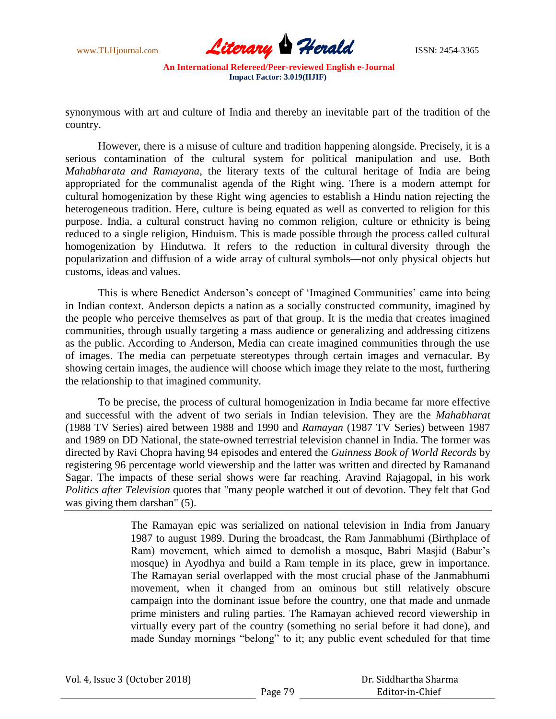

synonymous with art and culture of India and thereby an inevitable part of the tradition of the country.

However, there is a misuse of culture and tradition happening alongside. Precisely, it is a serious contamination of the cultural system for political manipulation and use. Both *Mahabharata and Ramayana,* the literary texts of the cultural heritage of India are being appropriated for the communalist agenda of the Right wing. There is a modern attempt for cultural homogenization by these Right wing agencies to establish a Hindu nation rejecting the heterogeneous tradition. Here, culture is being equated as well as converted to religion for this purpose. India, a cultural construct having no common religion, culture or ethnicity is being reduced to a single religion, Hinduism. This is made possible through the process called cultural homogenization by Hindutwa. It refers to the reduction in cultural diversity through the popularization and diffusion of a wide array of cultural symbols—not only physical objects but customs, ideas and values.

This is where Benedict Anderson"s concept of "Imagined Communities" came into being in Indian context. Anderson depicts a nation as a socially constructed community, imagined by the people who perceive themselves as part of that group. It is the media that creates imagined communities, through usually targeting a mass audience or generalizing and addressing citizens as the public. According to Anderson, Media can create imagined communities through the use of images. The media can perpetuate stereotypes through certain images and vernacular. By showing certain images, the audience will choose which image they relate to the most, furthering the relationship to that imagined community.

To be precise, the process of cultural homogenization in India became far more effective and successful with the advent of two serials in Indian television. They are the *Mahabharat*  (1988 TV Series) aired between 1988 and 1990 and *Ramayan* (1987 TV Series) between 1987 and 1989 on DD National, the state-owned terrestrial television channel in India. The former was directed by Ravi Chopra having 94 episodes and entered the *Guinness Book of World Records* by registering 96 percentage world viewership and the latter was written and directed by Ramanand Sagar. The impacts of these serial shows were far reaching. Aravind Rajagopal, in his work *Politics after Television* quotes that "many people watched it out of devotion. They felt that God was giving them darshan" (5).

> The Ramayan epic was serialized on national television in India from January 1987 to august 1989. During the broadcast, the Ram Janmabhumi (Birthplace of Ram) movement, which aimed to demolish a mosque, Babri Masjid (Babur"s mosque) in Ayodhya and build a Ram temple in its place, grew in importance. The Ramayan serial overlapped with the most crucial phase of the Janmabhumi movement, when it changed from an ominous but still relatively obscure campaign into the dominant issue before the country, one that made and unmade prime ministers and ruling parties. The Ramayan achieved record viewership in virtually every part of the country (something no serial before it had done), and made Sunday mornings "belong" to it; any public event scheduled for that time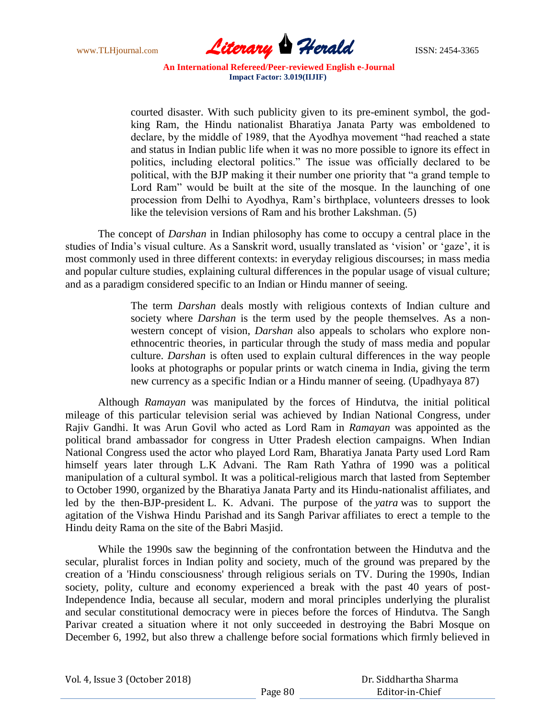

courted disaster. With such publicity given to its pre-eminent symbol, the godking Ram, the Hindu nationalist Bharatiya Janata Party was emboldened to declare, by the middle of 1989, that the Ayodhya movement "had reached a state and status in Indian public life when it was no more possible to ignore its effect in politics, including electoral politics." The issue was officially declared to be political, with the BJP making it their number one priority that "a grand temple to Lord Ram" would be built at the site of the mosque. In the launching of one procession from Delhi to Ayodhya, Ram"s birthplace, volunteers dresses to look like the television versions of Ram and his brother Lakshman. (5)

The concept of *Darshan* in Indian philosophy has come to occupy a central place in the studies of India's visual culture. As a Sanskrit word, usually translated as 'vision' or 'gaze', it is most commonly used in three different contexts: in everyday religious discourses; in mass media and popular culture studies, explaining cultural differences in the popular usage of visual culture; and as a paradigm considered specific to an Indian or Hindu manner of seeing.

> The term *Darshan* deals mostly with religious contexts of Indian culture and society where *Darshan* is the term used by the people themselves. As a nonwestern concept of vision, *Darshan* also appeals to scholars who explore nonethnocentric theories, in particular through the study of mass media and popular culture. *Darshan* is often used to explain cultural differences in the way people looks at photographs or popular prints or watch cinema in India, giving the term new currency as a specific Indian or a Hindu manner of seeing. (Upadhyaya 87)

Although *Ramayan* was manipulated by the forces of Hindutva, the initial political mileage of this particular television serial was achieved by Indian National Congress, under Rajiv Gandhi. It was Arun Govil who acted as Lord Ram in *Ramayan* was appointed as the political brand ambassador for congress in Utter Pradesh election campaigns. When Indian National Congress used the actor who played Lord Ram, Bharatiya Janata Party used Lord Ram himself years later through L.K Advani. The Ram Rath Yathra of 1990 was a political manipulation of a cultural symbol. It was a political-religious march that lasted from September to October 1990, organized by the Bharatiya Janata Party and its Hindu-nationalist affiliates, and led by the then-BJP-president L. K. Advani. The purpose of the *yatra* was to support the agitation of the Vishwa Hindu Parishad and its Sangh Parivar affiliates to erect a temple to the Hindu deity Rama on the site of the Babri Masjid.

While the 1990s saw the beginning of the confrontation between the Hindutva and the secular, pluralist forces in Indian polity and society, much of the ground was prepared by the creation of a 'Hindu consciousness' through religious serials on TV. During the 1990s, Indian society, polity, culture and economy experienced a break with the past 40 years of post-Independence India, because all secular, modern and moral principles underlying the pluralist and secular constitutional democracy were in pieces before the forces of Hindutva. The Sangh Parivar created a situation where it not only succeeded in destroying the Babri Mosque on December 6, 1992, but also threw a challenge before social formations which firmly believed in

| Vol. 4, Issue 3 (October 2018) |  |
|--------------------------------|--|
|--------------------------------|--|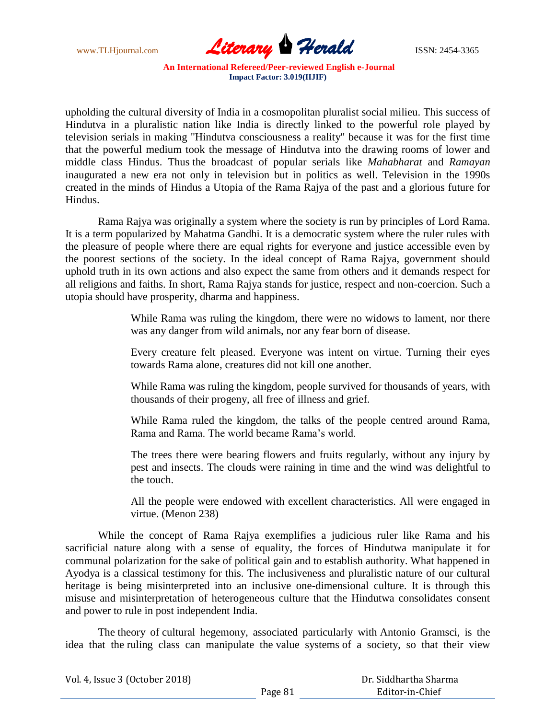

upholding the cultural diversity of India in a cosmopolitan pluralist social milieu. This success of Hindutva in a pluralistic nation like India is directly linked to the powerful role played by television serials in making "Hindutva consciousness a reality" because it was for the first time that the powerful medium took the message of Hindutva into the drawing rooms of lower and middle class Hindus. Thus the broadcast of popular serials like *Mahabharat* and *Ramayan* inaugurated a new era not only in television but in politics as well. Television in the 1990s created in the minds of Hindus a Utopia of the Rama Rajya of the past and a glorious future for Hindus.

Rama Rajya was originally a system where the society is run by principles of Lord Rama. It is a term popularized by Mahatma Gandhi. It is a democratic system where the ruler rules with the pleasure of people where there are equal rights for everyone and justice accessible even by the poorest sections of the society. In the ideal concept of Rama Rajya, government should uphold truth in its own actions and also expect the same from others and it demands respect for all religions and faiths. In short, Rama Rajya stands for justice, respect and non-coercion. Such a utopia should have prosperity, dharma and happiness.

> While Rama was ruling the kingdom, there were no widows to lament, nor there was any danger from wild animals, nor any fear born of disease.

> Every creature felt pleased. Everyone was intent on virtue. Turning their eyes towards Rama alone, creatures did not kill one another.

> While Rama was ruling the kingdom, people survived for thousands of years, with thousands of their progeny, all free of illness and grief.

> While Rama ruled the kingdom, the talks of the people centred around Rama, Rama and Rama. The world became Rama"s world.

> The trees there were bearing flowers and fruits regularly, without any injury by pest and insects. The clouds were raining in time and the wind was delightful to the touch.

> All the people were endowed with excellent characteristics. All were engaged in virtue. (Menon 238)

While the concept of Rama Rajya exemplifies a judicious ruler like Rama and his sacrificial nature along with a sense of equality, the forces of Hindutwa manipulate it for communal polarization for the sake of political gain and to establish authority. What happened in Ayodya is a classical testimony for this. The inclusiveness and pluralistic nature of our cultural heritage is being misinterpreted into an inclusive one-dimensional culture. It is through this misuse and misinterpretation of heterogeneous culture that the Hindutwa consolidates consent and power to rule in post independent India.

The theory of cultural hegemony, associated particularly with Antonio Gramsci, is the idea that the ruling class can manipulate the value systems of a society, so that their view

| Vol. 4, Issue 3 (October 2018) |         | Dr. Siddhartha Sharma |
|--------------------------------|---------|-----------------------|
|                                | Page 81 | Editor-in-Chief       |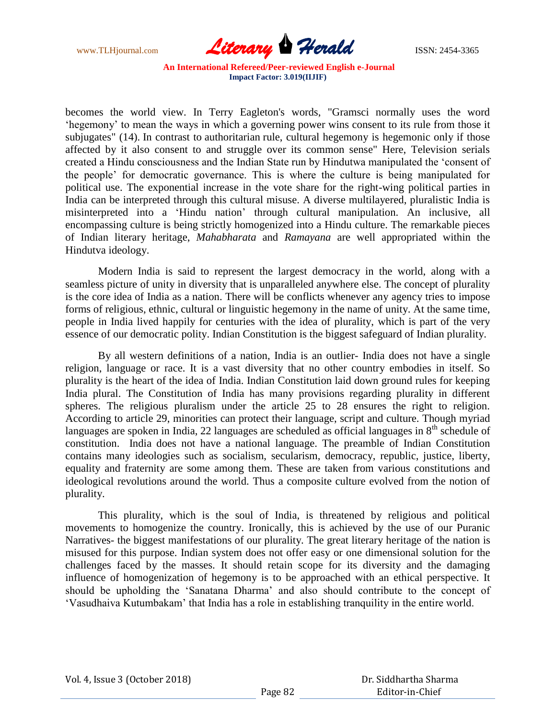

becomes the world view. In Terry Eagleton's words, "Gramsci normally uses the word "hegemony" to mean the ways in which a governing power wins consent to its rule from those it subjugates" (14). In contrast to authoritarian rule, cultural hegemony is hegemonic only if those affected by it also consent to and struggle over its common sense" Here, Television serials created a Hindu consciousness and the Indian State run by Hindutwa manipulated the "consent of the people" for democratic governance. This is where the culture is being manipulated for political use. The exponential increase in the vote share for the right-wing political parties in India can be interpreted through this cultural misuse. A diverse multilayered, pluralistic India is misinterpreted into a "Hindu nation" through cultural manipulation. An inclusive, all encompassing culture is being strictly homogenized into a Hindu culture. The remarkable pieces of Indian literary heritage, *Mahabharata* and *Ramayana* are well appropriated within the Hindutva ideology.

Modern India is said to represent the largest democracy in the world, along with a seamless picture of unity in diversity that is unparalleled anywhere else. The concept of plurality is the core idea of India as a nation. There will be conflicts whenever any agency tries to impose forms of religious, ethnic, cultural or linguistic hegemony in the name of unity. At the same time, people in India lived happily for centuries with the idea of plurality, which is part of the very essence of our democratic polity. Indian Constitution is the biggest safeguard of Indian plurality.

By all western definitions of a nation, India is an outlier- India does not have a single religion, language or race. It is a vast diversity that no other country embodies in itself. So plurality is the heart of the idea of India. Indian Constitution laid down ground rules for keeping India plural. The Constitution of India has many provisions regarding plurality in different spheres. The religious pluralism under the article 25 to 28 ensures the right to religion. According to article 29, minorities can protect their language, script and culture. Though myriad languages are spoken in India, 22 languages are scheduled as official languages in  $8<sup>th</sup>$  schedule of constitution. India does not have a national language. The preamble of Indian Constitution contains many ideologies such as socialism, secularism, democracy, republic, justice, liberty, equality and fraternity are some among them. These are taken from various constitutions and ideological revolutions around the world. Thus a composite culture evolved from the notion of plurality.

This plurality, which is the soul of India, is threatened by religious and political movements to homogenize the country. Ironically, this is achieved by the use of our Puranic Narratives- the biggest manifestations of our plurality. The great literary heritage of the nation is misused for this purpose. Indian system does not offer easy or one dimensional solution for the challenges faced by the masses. It should retain scope for its diversity and the damaging influence of homogenization of hegemony is to be approached with an ethical perspective. It should be upholding the "Sanatana Dharma" and also should contribute to the concept of "Vasudhaiva Kutumbakam" that India has a role in establishing tranquility in the entire world.